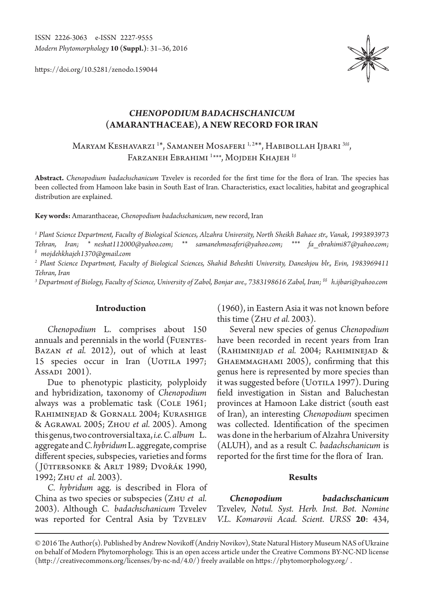ISSN 2226-3063 e-ISSN 2227-9555 *Modern Phytomorphology* **10 (Suppl.)**: 31–36, 2016

https://doi.org/10.5281/zenodo.159044



# *CHENOPODIUM BADACHSCHANICUM* **(AMARANTHACEAE), A NEW RECORD FOR IRAN**

Maryam Keshavarzi 1 \*, Samaneh Mosaferi 1, 2\*\*, Habibollah Ijbari 3*§§*, Farzaneh Ebrahimi 1 *\*\*\**, Mojdeh Khajeh 1*§*

**Abstract.** *Chenopodium badachschanicum* Tzvelev is recorded for the first time for the flora of Iran. The species has been collected from Hamoon lake basin in South East of Iran. Characteristics, exact localities, habitat and geographical distribution are explained.

**Key words:** Amaranthaceae, *Chenopodium badachschanicum*, new record, Iran

*1 Plant Science Department, Faculty of Biological Sciences, Alzahra University, North Sheikh Bahaee str., Vanak, 1993893973 Tehran, Iran; \* neshat112000@yahoo.com; \*\* samanehmosaferi@yahoo.com; \*\*\* fa\_ebrahimi87@yahoo.com; § mojdehkhajeh1370@gmail.com*

*2 Plant Science Department, Faculty of Biological Sciences, Shahid Beheshti University, Daneshjou blr., Evin, 1983969411 Tehran, Iran*

*3 Department of Biology, Faculty of Science, University of Zabol, Bonjar ave., 7383198616 Zabol, Iran; §§ h.ijbari@yahoo.com*

### **Introduction**

*Chenopodium* L. comprises about 150 annuals and perennials in the world (FUENTES-Bazan *et al.* 2012), out of which at least 15 species occur in Iran (UOTILA 1997; Assadi 2001).

Due to phenotypic plasticity, polyploidy and hybridization, taxonomy of *Chenopodium* always was a problematic task (COLE 1961; Rahiminejad & Gornall 2004; Kurashige & Agrawal 2005; Zhou *et al.* 2005). Among this genus, two controversial taxa, *i.e. C. album* L. aggregate and *C. hybridum* L. aggregate, comprise different species, subspecies, varieties and forms ( Jüttersonke & Arlt 1989; Dvořák 1990, 1992; Zhu *et al.* 2003).

*C. hybridum* agg. is described in Flora of China as two species or subspecies (Zhu *et al.*  2003). Although *C. badachschanicum* Tzvelev was reported for Central Asia by TzvELEV (1960), in Eastern Asia it was not known before this time (Zhu *et al.* 2003).

Several new species of genus *Chenopodium* have been recorded in recent years from Iran (Rahiminejad *et al.* 2004; Rahiminejad & Ghaemmaghami 2005), confirming that this genus here is represented by more species than it was suggested before (UOTILA 1997). During field investigation in Sistan and Baluchestan provinces at Hamoon Lake district (south east of Iran), an interesting *Chenopodium* specimen was collected. Identification of the specimen was done in the herbarium of Alzahra University (ALUH), and as a result *C. badachschanicum* is reported for the first time for the flora of Iran.

## **Results**

*Chenopodium badachschanicum*  Tzvelev, *Notul. Syst. Herb. Inst. Bot. Nomine V.L. Komarovii Acad. Scient. URSS* **20**: 434,

<sup>© 2016</sup> The Author(s). Published by Andrew Novikoff (Andriy Novikov), State Natural History Museum NAS of Ukraine on behalf of Modern Phytomorphology. This is an open access article under the Creative Commons BY-NC-ND license (http://creativecommons.org/licenses/by-nc-nd/4.0/) freely available on https://phytomorphology.org/ .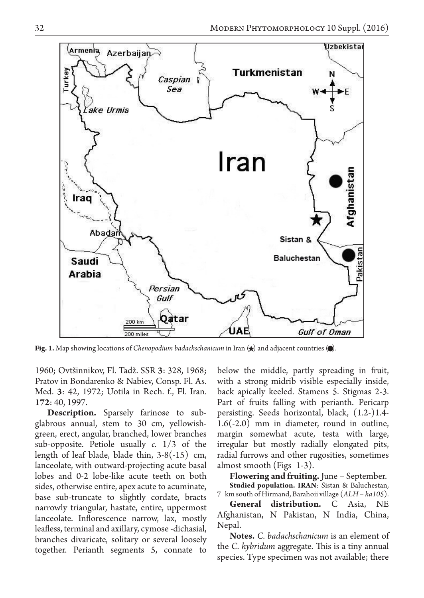

**Fig. 1.** Map showing locations of *Chenopodium badachschanicum* in Iran  $\langle \star \rangle$  and adjacent countries  $\langle \bullet \rangle$ .

1960; Ovtšinnikov, Fl. Tadž. SSR **3**: 328, 1968; Pratov in Bondarenko & Nabiev, Consp. Fl. As. Med. **3**: 42, 1972; Uotila in Rech. f., Fl. Iran. **172**: 40, 1997.

**Description.** Sparsely farinose to subglabrous annual, stem to 30 cm, yellowishgreen, erect, angular, branched, lower branches sub-opposite. Petiole usually *c.* 1/3 of the length of leaf blade, blade thin, 3-8(-15) cm, lanceolate, with outward-projecting acute basal lobes and 0-2 lobe-like acute teeth on both sides, otherwise entire, apex acute to acuminate, base sub-truncate to slightly cordate, bracts narrowly triangular, hastate, entire, uppermost lanceolate. Inflorescence narrow, lax, mostly leafless, terminal and axillary, cymose -dichasial, branches divaricate, solitary or several loosely together. Perianth segments 5, connate to below the middle, partly spreading in fruit, with a strong midrib visible especially inside, back apically keeled. Stamens 5. Stigmas 2-3. Part of fruits falling with perianth. Pericarp persisting. Seeds horizontal, black, (1.2-)1.4- 1.6(-2.0) mm in diameter, round in outline, margin somewhat acute, testa with large, irregular but mostly radially elongated pits, radial furrows and other rugosities, sometimes almost smooth (Figs 1-3).

**Flowering and fruiting.** June – September. **Studied population. IRAN**: Sistan & Baluchestan, 7 km south of Hirmand, Barahoii village (*ALH – ha105*).

**General distribution.** C Asia, NE Afghanistan, N Pakistan, N India, China, Nepal.

**Notes.** *C. badachschanicum* is an element of the *C. hybridum* aggregate. This is a tiny annual species. Type specimen was not available; there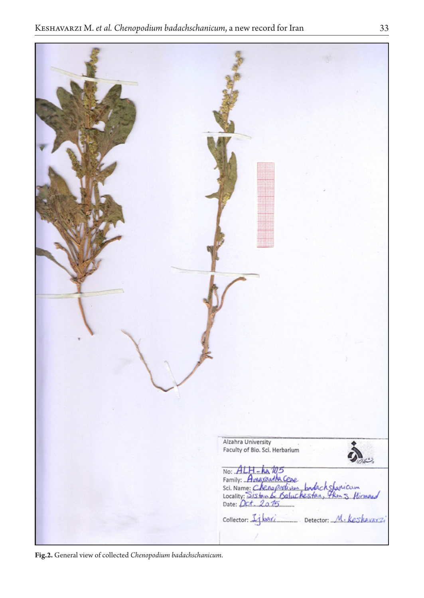| Alzahra University<br>Faculty of Bio. Sci. Herbarium<br>しんし<br>No: ALH-Lea 105<br>Family: Americante Cose<br>Sci. Name: Chena peckins bodach sharicum<br>Locality: Sistem by Soluchesters Koss Himsel<br>Collector: Ijbari Detector: M. Keshavarzi |
|----------------------------------------------------------------------------------------------------------------------------------------------------------------------------------------------------------------------------------------------------|

**Fig.2.** General view of collected *Chenopodium badachschanicum*.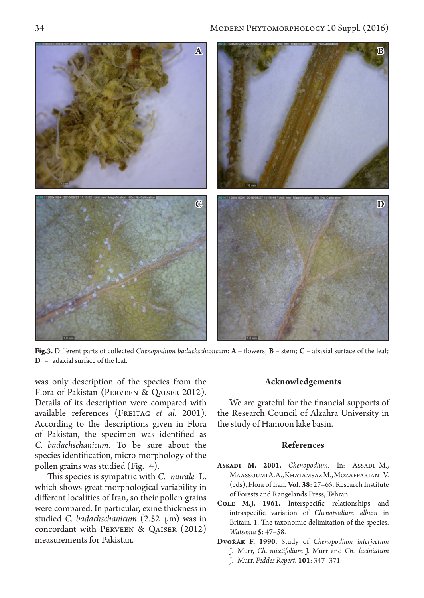

**Fig.3.** Different parts of collected *Chenopodium badachschanicum*: **A** – flowers; **B** – stem; **C** – abaxial surface of the leaf; **D** – adaxial surface of the leaf.

was only description of the species from the Flora of Pakistan (Perveen & Qaiser 2012). Details of its description were compared with available references (FREITAG et al. 2001). According to the descriptions given in Flora of Pakistan, the specimen was identified as *C. badachschanicum*. To be sure about the species identification, micro-morphology of the pollen grains was studied (Fig. 4).

This species is sympatric with *C. murale* L. which shows great morphological variability in different localities of Iran, so their pollen grains were compared. In particular, exine thickness in studied *C. badachschanicum* (2.52 µm) was in concordant with Perveen & Qaiser (2012) measurements for Pakistan.

### **Acknowledgements**

We are grateful for the financial supports of the Research Council of Alzahra University in the study of Hamoon lake basin.

# **References**

- **Assadi M. 2001.** *Chenopodium*. In: Assadi M., Maassoumi A.A., Khatamsaz M., Mozaffarian V. (eds), Flora of Iran. **Vol. 38**: 27–65. Research Institute of Forests and Rangelands Press, Tehran.
- **Cole M.J. 1961.** Interspecific relationships and intraspecific variation of *Chenopodium album* in Britain. 1. The taxonomic delimitation of the species. *Watsonia* **5**: 47–58.
- **Dvořák F. 1990.** Study of *Chenopodium interjectum* J. Murr, *Ch. mixtifolium* J. Murr and *Ch. laciniatum* J. Murr. *Feddes Repert.* **101**: 347–371.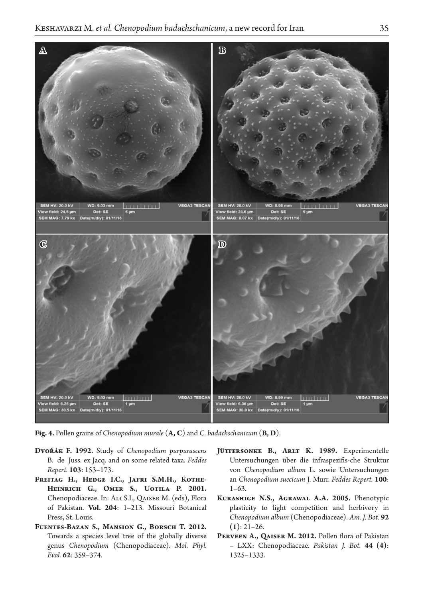

**Fig. 4.** Pollen grains of *Chenopodium murale* (**A, C**) and *C. badachschanicum* (**B, D**).

- **Dvořák F. 1992.** Study of *Chenopodium purpurascens*  B. de Juss. ex Jacq. and on some related taxa. *Feddes Repert.* **103**: 153–173.
- FREITAG H., HEDGE I.C., JAFRI S.M.H., KOTHE-**Heinrich G., Omer S., Uotila P. 2001.**  Chenopodiaceae. In: Ali S.I., Qaiser M. (eds), Flora of Pakistan. **Vol. 204**: 1–213. Missouri Botanical Press, St. Louis.
- **Fuentes-Bazan S., Mansion G., Borsch T. 2012.**  Towards a species level tree of the globally diverse genus *Chenopodium* (Chenopodiaceae). *Mol. Phyl. Evol.* **62**: 359–374.
- JÜTTERSONKE B., ARLT K. 1989. Experimentelle Untersuchungen über die infraspezifis-che Struktur von *Chenopodium album* L. sowie Untersuchungen an *Chenopodium suecicum* J. Murr. *Feddes Repert.* **100**: 1–63.
- **Kurashige N.S., Agrawal A.A. 2005.** Phenotypic plasticity to light competition and herbivory in *Chenopodium album* (Chenopodiaceae). *Am. J. Bot.* **92 (1)**: 21–26.
- PERVEEN A., QAISER M. 2012. Pollen flora of Pakistan – LXX: Chenopodiaceae. *Pakistan J. Bot.* **44 (4)**: 1325–1333.